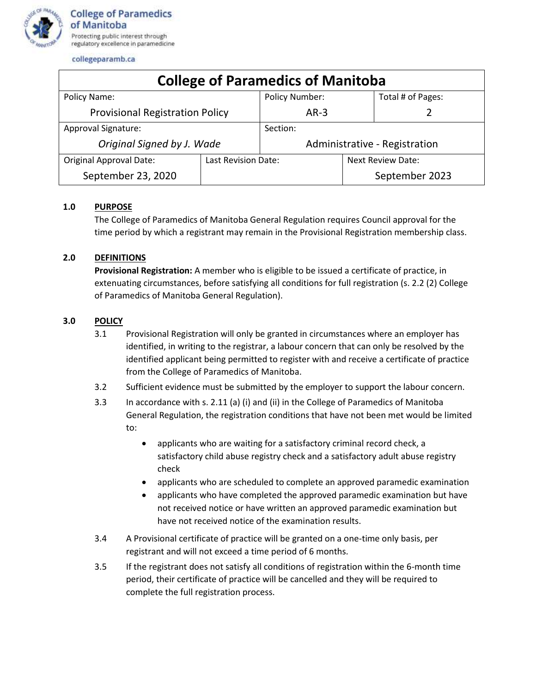

collegeparamb.ca

| <b>College of Paramedics of Manitoba</b> |                     |                               |                          |                   |
|------------------------------------------|---------------------|-------------------------------|--------------------------|-------------------|
| Policy Name:                             |                     | <b>Policy Number:</b>         |                          | Total # of Pages: |
| <b>Provisional Registration Policy</b>   |                     | $AR-3$                        |                          |                   |
| <b>Approval Signature:</b>               |                     | Section:                      |                          |                   |
| Original Signed by J. Wade               |                     | Administrative - Registration |                          |                   |
| <b>Original Approval Date:</b>           | Last Revision Date: |                               | <b>Next Review Date:</b> |                   |
| September 23, 2020                       |                     |                               |                          | September 2023    |

## **1.0 PURPOSE**

The College of Paramedics of Manitoba General Regulation requires Council approval for the time period by which a registrant may remain in the Provisional Registration membership class.

## **2.0 DEFINITIONS**

**Provisional Registration:** A member who is eligible to be issued a certificate of practice, in extenuating circumstances, before satisfying all conditions for full registration (s. 2.2 (2) College of Paramedics of Manitoba General Regulation).

## **3.0 POLICY**

- 3.1 Provisional Registration will only be granted in circumstances where an employer has identified, in writing to the registrar, a labour concern that can only be resolved by the identified applicant being permitted to register with and receive a certificate of practice from the College of Paramedics of Manitoba.
- 3.2 Sufficient evidence must be submitted by the employer to support the labour concern.
- 3.3 In accordance with s. 2.11 (a) (i) and (ii) in the College of Paramedics of Manitoba General Regulation, the registration conditions that have not been met would be limited to:
	- applicants who are waiting for a satisfactory criminal record check, a satisfactory child abuse registry check and a satisfactory adult abuse registry check
	- applicants who are scheduled to complete an approved paramedic examination
	- applicants who have completed the approved paramedic examination but have not received notice or have written an approved paramedic examination but have not received notice of the examination results.
- 3.4 A Provisional certificate of practice will be granted on a one-time only basis, per registrant and will not exceed a time period of 6 months.
- 3.5 If the registrant does not satisfy all conditions of registration within the 6-month time period, their certificate of practice will be cancelled and they will be required to complete the full registration process.